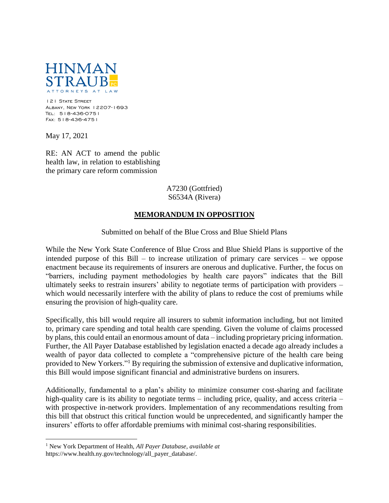

121 State Street Albany, New York 12207-1693 Tel: 518-436-0751 Fax: 518-436-4751

May 17, 2021

 $\overline{a}$ 

RE: AN ACT to amend the public health law, in relation to establishing the primary care reform commission

## A7230 (Gottfried) S6534A (Rivera)

## **MEMORANDUM IN OPPOSITION**

Submitted on behalf of the Blue Cross and Blue Shield Plans

While the New York State Conference of Blue Cross and Blue Shield Plans is supportive of the intended purpose of this Bill – to increase utilization of primary care services – we oppose enactment because its requirements of insurers are onerous and duplicative. Further, the focus on "barriers, including payment methodologies by health care payors" indicates that the Bill ultimately seeks to restrain insurers' ability to negotiate terms of participation with providers – which would necessarily interfere with the ability of plans to reduce the cost of premiums while ensuring the provision of high-quality care.

Specifically, this bill would require all insurers to submit information including, but not limited to, primary care spending and total health care spending. Given the volume of claims processed by plans, this could entail an enormous amount of data – including proprietary pricing information. Further, the All Payer Database established by legislation enacted a decade ago already includes a wealth of payor data collected to complete a "comprehensive picture of the health care being provided to New Yorkers."<sup>1</sup> By requiring the submission of extensive and duplicative information, this Bill would impose significant financial and administrative burdens on insurers.

Additionally, fundamental to a plan's ability to minimize consumer cost-sharing and facilitate high-quality care is its ability to negotiate terms – including price, quality, and access criteria – with prospective in-network providers. Implementation of any recommendations resulting from this bill that obstruct this critical function would be unprecedented, and significantly hamper the insurers' efforts to offer affordable premiums with minimal cost-sharing responsibilities.

<sup>1</sup> New York Department of Health, *All Payer Database*, *available at*  https://www.health.ny.gov/technology/all\_payer\_database/*.*